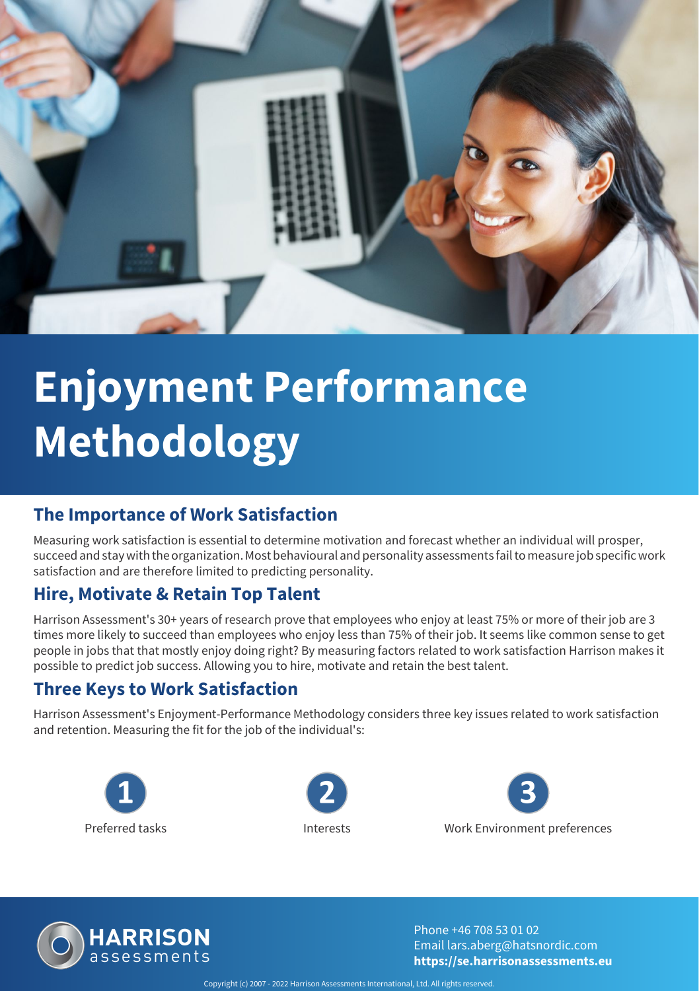

# **Enjoyment Performance Methodology**

### **The Importance of Work Satisfaction**

Measuring work satisfaction is essential to determine motivation and forecast whether an individual will prosper, succeed and stay with the organization. Most behavioural and personality assessments fail to measure job specific work satisfaction and are therefore limited to predicting personality.

### **Hire, Motivate & Retain Top Talent**

Harrison Assessment's 30+ years of research prove that employees who enjoy at least 75% or more of their job are 3 times more likely to succeed than employees who enjoy less than 75% of their job. It seems like common sense to get people in jobs that that mostly enjoy doing right? By measuring factors related to work satisfaction Harrison makes it possible to predict job success. Allowing you to hire, motivate and retain the best talent.

#### **Three Keys to Work Satisfaction**

Harrison Assessment's Enjoyment-Performance Methodology considers three key issues related to work satisfaction and retention. Measuring the fit for the job of the individual's:









Phone +46 708 53 01 02 Email lars.aberg@hatsnordic.com **https://se.harrisonassessments.eu**